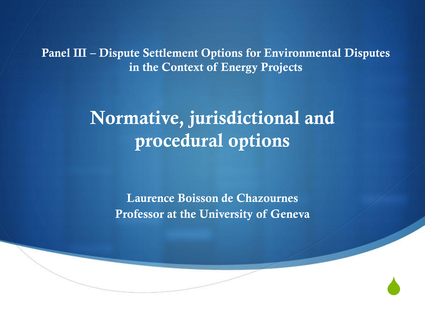**Panel III – Dispute Settlement Options for Environmental Disputes in the Context of Energy Projects**

## **Normative, jurisdictional and procedural options**

**Laurence Boisson de Chazournes Professor at the University of Geneva**

 $\blacklozenge$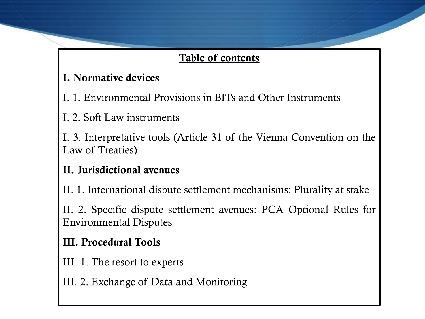#### **Table of contents**

#### **I. Normative devices**

- I. 1. Environmental Provisions in BITs and Other Instruments
- I. 2. Soft Law instruments

I. 3. Interpretative tools (Article 31 of the Vienna Convention on the Law of Treaties)

#### **II. Jurisdictional avenues**

II. 1. International dispute settlement mechanisms: Plurality at stake

II. 2. Specific dispute settlement avenues: PCA Optional Rules for Environmental Disputes

#### **III. Procedural Tools**

- III. 1. The resort to experts
- III. 2. Exchange of Data and Monitoring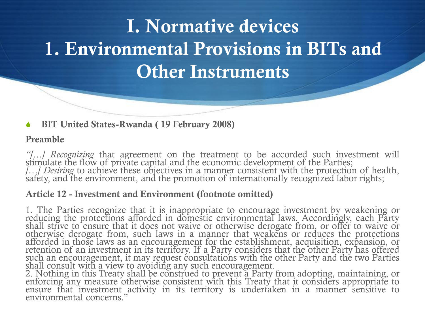#### S **BIT United States-Rwanda ( 19 February 2008)**

#### **Preamble**

*"[…] Recognizing* that agreement on the treatment to be accorded such investment will stimulate the flow of private capital and the economic development of the Parties; *[…] Desiring* to achieve these objectives in a manner consistent with the protection of health, safety, and the environment, and the promotion of internationally recognized labor rights;

#### **Article 12 - Investment and Environment (footnote omitted)**

1. The Parties recognize that it is inappropriate to encourage investment by weakening or reducing the protections afforded in domestic environmental laws. Accordingly, each Party shall strive to ensure that it does not waive or otherwise derogate from, or offer to waive or otherwise derogate from, such laws in a manner that weakens or reduces the protections afforded in those laws as an encouragement for the establishment, acquisition, expansion, or retention of an investment in its territory. If a Party considers that the other Party has offered such an encouragement, it may request consultations with the other Party and the two Parties shall consult with a view to avoiding any such encouragement.

2. Nothing in this Treaty shall be construed to prevent a Party from adopting, maintaining, or enforcing any measure otherwise consistent with this Treaty that it considers appropriate to ensure that investment activity in its territory is undertaken in a manner sensitive to environmental concerns."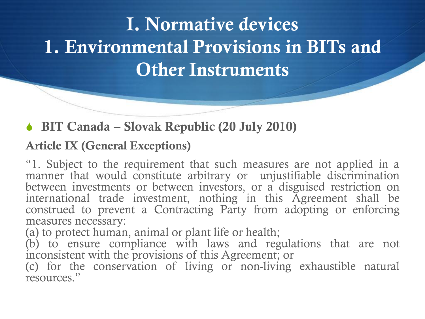### ◆ BIT Canada – Slovak Republic (20 July 2010)

### **Article IX (General Exceptions)**

"1. Subject to the requirement that such measures are not applied in a manner that would constitute arbitrary or unjustifiable discrimination between investments or between investors, or a disguised restriction on international trade investment, nothing in this Agreement shall be construed to prevent a Contracting Party from adopting or enforcing measures necessary:

(a) to protect human, animal or plant life or health;

(b) to ensure compliance with laws and regulations that are not inconsistent with the provisions of this Agreement; or

(c) for the conservation of living or non-living exhaustible natural resources."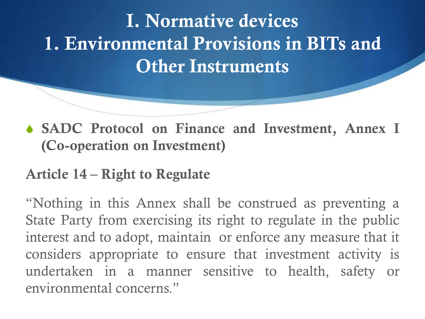S **SADC Protocol on Finance and Investment, Annex I (Co-operation on Investment)**

## **Article 14 – Right to Regulate**

"Nothing in this Annex shall be construed as preventing a State Party from exercising its right to regulate in the public interest and to adopt, maintain or enforce any measure that it considers appropriate to ensure that investment activity is undertaken in a manner sensitive to health, safety or environmental concerns."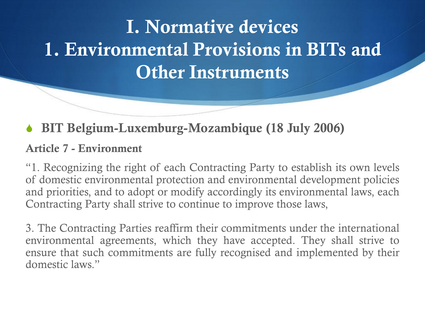### S **BIT Belgium-Luxemburg-Mozambique (18 July 2006)**

#### **Article 7 - Environment**

"1. Recognizing the right of each Contracting Party to establish its own levels of domestic environmental protection and environmental development policies and priorities, and to adopt or modify accordingly its environmental laws, each Contracting Party shall strive to continue to improve those laws,

3. The Contracting Parties reaffirm their commitments under the international environmental agreements, which they have accepted. They shall strive to ensure that such commitments are fully recognised and implemented by their domestic laws."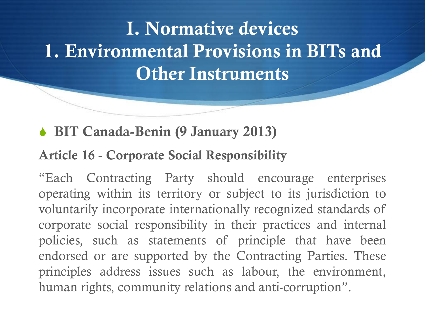## S **BIT Canada-Benin (9 January 2013)**

### **Article 16 - Corporate Social Responsibility**

"Each Contracting Party should encourage enterprises operating within its territory or subject to its jurisdiction to voluntarily incorporate internationally recognized standards of corporate social responsibility in their practices and internal policies, such as statements of principle that have been endorsed or are supported by the Contracting Parties. These principles address issues such as labour, the environment, human rights, community relations and anti-corruption".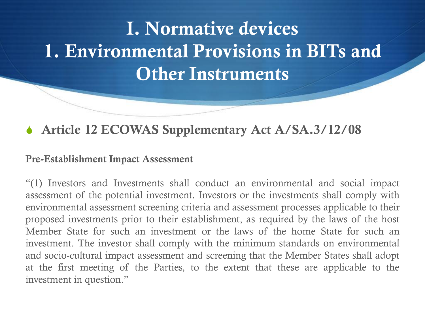### **S** Article 12 ECOWAS Supplementary Act A/SA.3/12/08

#### **Pre-Establishment Impact Assessment**

"(1) Investors and Investments shall conduct an environmental and social impact assessment of the potential investment. Investors or the investments shall comply with environmental assessment screening criteria and assessment processes applicable to their proposed investments prior to their establishment, as required by the laws of the host Member State for such an investment or the laws of the home State for such an investment. The investor shall comply with the minimum standards on environmental and socio-cultural impact assessment and screening that the Member States shall adopt at the first meeting of the Parties, to the extent that these are applicable to the investment in question."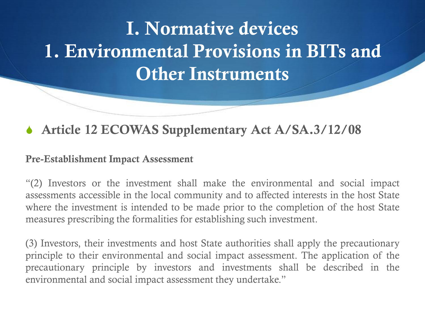### **S** Article 12 ECOWAS Supplementary Act A/SA.3/12/08

#### **Pre-Establishment Impact Assessment**

"(2) Investors or the investment shall make the environmental and social impact assessments accessible in the local community and to affected interests in the host State where the investment is intended to be made prior to the completion of the host State measures prescribing the formalities for establishing such investment.

(3) Investors, their investments and host State authorities shall apply the precautionary principle to their environmental and social impact assessment. The application of the precautionary principle by investors and investments shall be described in the environmental and social impact assessment they undertake."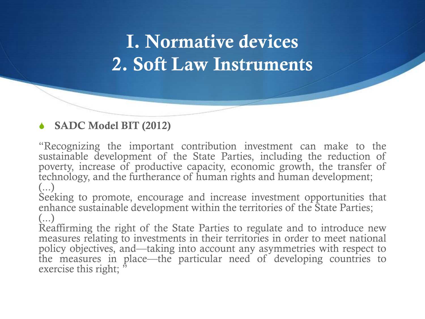## **I. Normative devices 2. Soft Law Instruments**

#### S **SADC Model BIT (2012)**

"Recognizing the important contribution investment can make to the sustainable development of the State Parties, including the reduction of poverty, increase of productive capacity, economic growth, the transfer of technology, and the furtherance of human rights and human development; (...)

Seeking to promote, encourage and increase investment opportunities that enhance sustainable development within the territories of the State Parties;  $\left(\ldots\right)$ 

Reaffirming the right of the State Parties to regulate and to introduce new measures relating to investments in their territories in order to meet national policy objectives, and—taking into account any asymmetries with respect to the measures in place—the particular need of developing countries to exercise this right;  $\ddot{r}$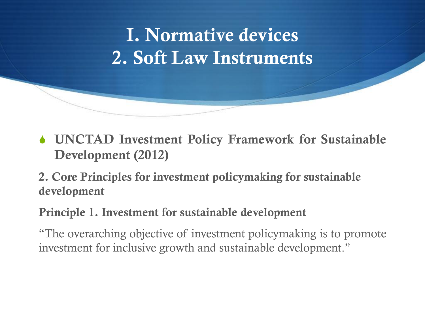

S **UNCTAD Investment Policy Framework for Sustainable Development (2012)**

**2. Core Principles for investment policymaking for sustainable development**

**Principle 1. Investment for sustainable development**

"The overarching objective of investment policymaking is to promote investment for inclusive growth and sustainable development."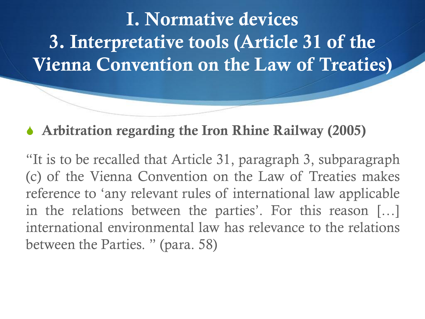## S **Arbitration regarding the Iron Rhine Railway (2005)**

"It is to be recalled that Article 31, paragraph 3, subparagraph (c) of the Vienna Convention on the Law of Treaties makes reference to 'any relevant rules of international law applicable in the relations between the parties'. For this reason […] international environmental law has relevance to the relations between the Parties. " (para. 58)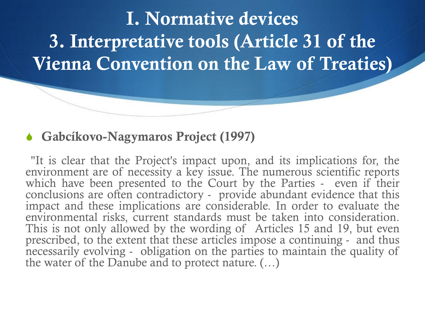### **↓ Gabcíkovo-Nagymaros Project (1997)**

"It is clear that the Project's impact upon, and its implications for, the environment are of necessity a key issue. The numerous scientific reports which have been presented to the Court by the Parties - even if their conclusions are often contradictory - provide abundant evidence that this impact and these implications are considerable. In order to evaluate the environmental risks, current standards must be taken into consideration. This is not only allowed by the wording of Articles 15 and 19, but even prescribed, to the extent that these articles impose a continuing - and thus necessarily evolving - obligation on the parties to maintain the quality of the water of the Danube and to protect nature. (…)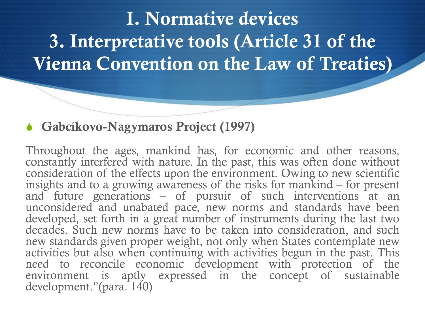### S **Gabcíkovo-Nagymaros Project (1997)**

Throughout the ages, mankind has, for economic and other reasons, constantly interfered with nature. In the past, this was often done without consideration of the effects upon the environment. Owing to new scientific insights and to a growing awareness of the risks for mankind – for present and future generations – of pursuit of such interventions at an unconsidered and unabated pace, new norms and standards have been developed, set forth in a great number of instruments during the last two decades. Such new norms have to be taken into consideration, and such new standards given proper weight, not only when States contemplate new activities but also when continuing with activities begun in the past. This need to reconcile economic development with protection of the environment is aptly expressed in the concept of sustainable development."(para. 140)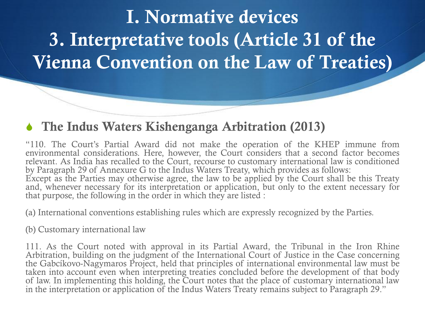### **S** The Indus Waters Kishenganga Arbitration (2013)

"110. The Court's Partial Award did not make the operation of the KHEP immune from environmental considerations. Here, however, the Court considers that a second factor becomes relevant. As India has recalled to the Court, recourse to customary international law is conditioned by Paragraph 29 of Annexure G to the Indus Waters Treaty, which provides as follows: Except as the Parties may otherwise agree, the law to be applied by the Court shall be this Treaty and, whenever necessary for its interpretation or application, but only to the extent necessary for that purpose, the following in the order in which they are listed :

(a) International conventions establishing rules which are expressly recognized by the Parties.

(b) Customary international law

111. As the Court noted with approval in its Partial Award, the Tribunal in the Iron Rhine Arbitration, building on the judgment of the International Court of Justice in the Case concerning the Gabcíkovo-Nagymaros Project, held that principles of international environmental law must be taken into account even when interpreting treaties concluded before the development of that body of law. In implementing this holding, the Court notes that the place of customary international law in the interpretation or application of the Indus Waters Treaty remains subject to Paragraph 29."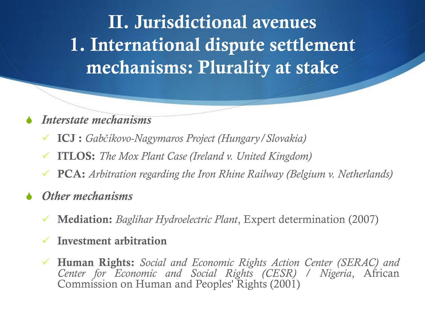**II. Jurisdictional avenues 1. International dispute settlement mechanisms: Plurality at stake**

#### S *Interstate mechanisms*

- **ICJ :** *Gabčíkovo-Nagymaros Project (Hungary/Slovakia)*
- **ITLOS:** *The Mox Plant Case (Ireland v. United Kingdom)*
- **PCA:** *Arbitration regarding the Iron Rhine Railway (Belgium v. Netherlands)*

#### **Other mechanisms**

**Mediation:** *Baglihar Hydroelectric Plant*, Expert determination (2007)

#### **Investment arbitration**

 **Human Rights:** *Social and Economic Rights Action Center (SERAC) and Center for Economic and Social Rights (CESR) / Nigeria*, African Commission on Human and Peoples' Rights (2001)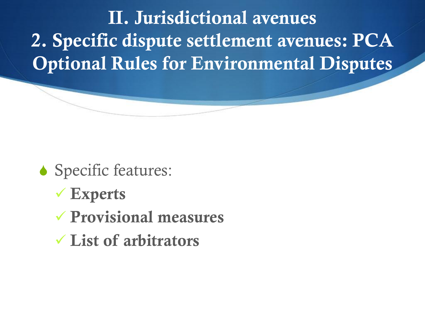**II. Jurisdictional avenues 2. Specific dispute settlement avenues: PCA Optional Rules for Environmental Disputes**

- Specific features:
	- **Experts**
	- **Provisional measures**
	- **List of arbitrators**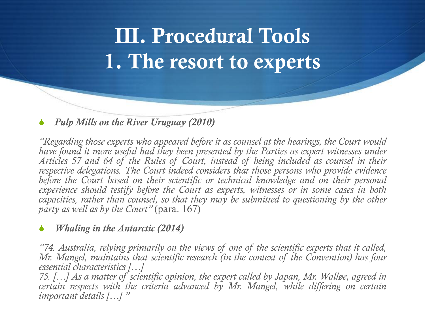# **III. Procedural Tools 1. The resort to experts**

#### *Pulp Mills on the River Uruguay (2010)*

*"Regarding those experts who appeared before it as counsel at the hearings, the Court would have found it more useful had they been presented by the Parties as expert witnesses under Articles 57 and 64 of the Rules of Court, instead of being included as counsel in their respective delegations. The Court indeed considers that those persons who provide evidence before the Court based on their scientific or technical knowledge and on their personal experience should testify before the Court as experts, witnesses or in some cases in both capacities, rather than counsel, so that they may be submitted to questioning by the other party as well as by the Court"* (para. 167)

#### *<i>Whaling in the Antarctic (2014)*

*"74. Australia, relying primarily on the views of one of the scientific experts that it called, Mr. Mangel, maintains that scientific research (in the context of the Convention) has four essential characteristics […]*

75. [...] As a matter of scientific opinion, the expert called by Japan, Mr. Walløe, agreed in *certain respects with the criteria advanced by Mr. Mangel, while differing on certain important details […] "*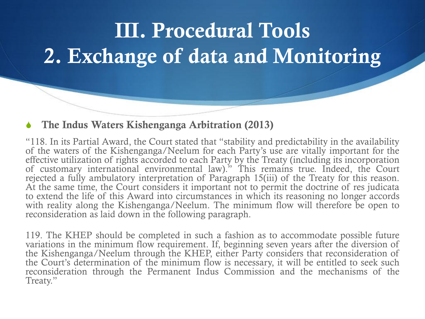# **III. Procedural Tools 2. Exchange of data and Monitoring**

#### **S** The Indus Waters Kishenganga Arbitration (2013)

"118. In its Partial Award, the Court stated that "stability and predictability in the availability of the waters of the Kishenganga/Neelum for each Party's use are vitally important for the effective utilization of rights accorded to each Party by the Treaty (including its incorporation of customary international environmental law)." This remains true. Indeed, the Court rejected a fully ambulatory interpretation of Paragraph 15(iii) of the Treaty for this reason. At the same time, the Court considers it important not to permit the doctrine of res judicata to extend the life of this Award into circumstances in which its reasoning no longer accords with reality along the Kishenganga/Neelum. The minimum flow will therefore be open to reconsideration as laid down in the following paragraph.

119. The KHEP should be completed in such a fashion as to accommodate possible future variations in the minimum flow requirement. If, beginning seven years after the diversion of the Kishenganga/Neelum through the KHEP, either Party considers that reconsideration of the Court's determination of the minimum flow is necessary, it will be entitled to seek such reconsideration through the Permanent Indus Commission and the mechanisms of the Treaty."